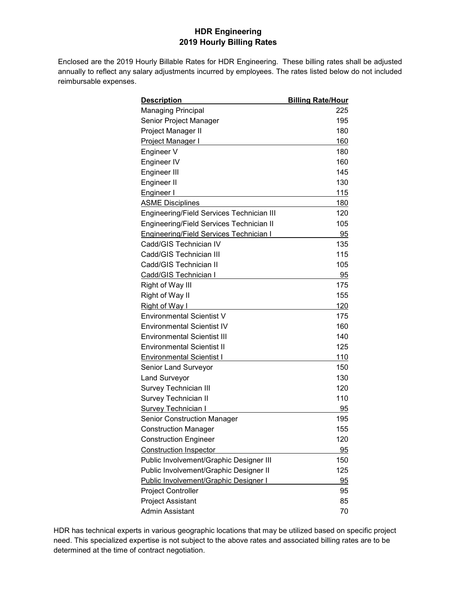## **HDR Engineering 2019 Hourly Billing Rates**

Enclosed are the 2019 Hourly Billable Rates for HDR Engineering. These billing rates shall be adjusted annually to reflect any salary adjustments incurred by employees. The rates listed below do not included reimbursable expenses.

| <u>Description</u>                             | <b>Billing Rate/Hour</b> |
|------------------------------------------------|--------------------------|
| <b>Managing Principal</b>                      | 225                      |
| Senior Project Manager                         | 195                      |
| Project Manager II                             | 180                      |
| <b>Project Manager I</b>                       | 160                      |
| Engineer V                                     | 180                      |
| Engineer IV                                    | 160                      |
| Engineer III                                   | 145                      |
| Engineer II                                    | 130                      |
| Engineer I                                     | 115                      |
| <b>ASME Disciplines</b>                        | 180                      |
| Engineering/Field Services Technician III      | 120                      |
| Engineering/Field Services Technician II       | 105                      |
| <b>Engineering/Field Services Technician I</b> | 95                       |
| Cadd/GIS Technician IV                         | 135                      |
| Cadd/GIS Technician III                        | 115                      |
| Cadd/GIS Technician II                         | 105                      |
| Cadd/GIS Technician I                          | 95                       |
| Right of Way III                               | 175                      |
| Right of Way II                                | 155                      |
| <b>Right of Way I</b>                          | 120                      |
| <b>Environmental Scientist V</b>               | 175                      |
| <b>Environmental Scientist IV</b>              | 160                      |
| <b>Environmental Scientist III</b>             | 140                      |
| <b>Environmental Scientist II</b>              | 125                      |
| <b>Environmental Scientist I</b>               | 110                      |
| Senior Land Surveyor                           | 150                      |
| <b>Land Surveyor</b>                           | 130                      |
| Survey Technician III                          | 120                      |
| <b>Survey Technician II</b>                    | 110                      |
| <b>Survey Technician I</b>                     | 95                       |
| Senior Construction Manager                    | 195                      |
| <b>Construction Manager</b>                    | 155                      |
| <b>Construction Engineer</b>                   | 120                      |
| <b>Construction Inspector</b>                  | 95                       |
| Public Involvement/Graphic Designer III        | 150                      |
| Public Involvement/Graphic Designer II         | 125                      |
| Public Involvement/Graphic Designer I          | 95                       |
| <b>Project Controller</b>                      | 95                       |
| <b>Project Assistant</b>                       | 85                       |
| Admin Assistant                                | 70                       |

HDR has technical experts in various geographic locations that may be utilized based on specific project need. This specialized expertise is not subject to the above rates and associated billing rates are to be determined at the time of contract negotiation.